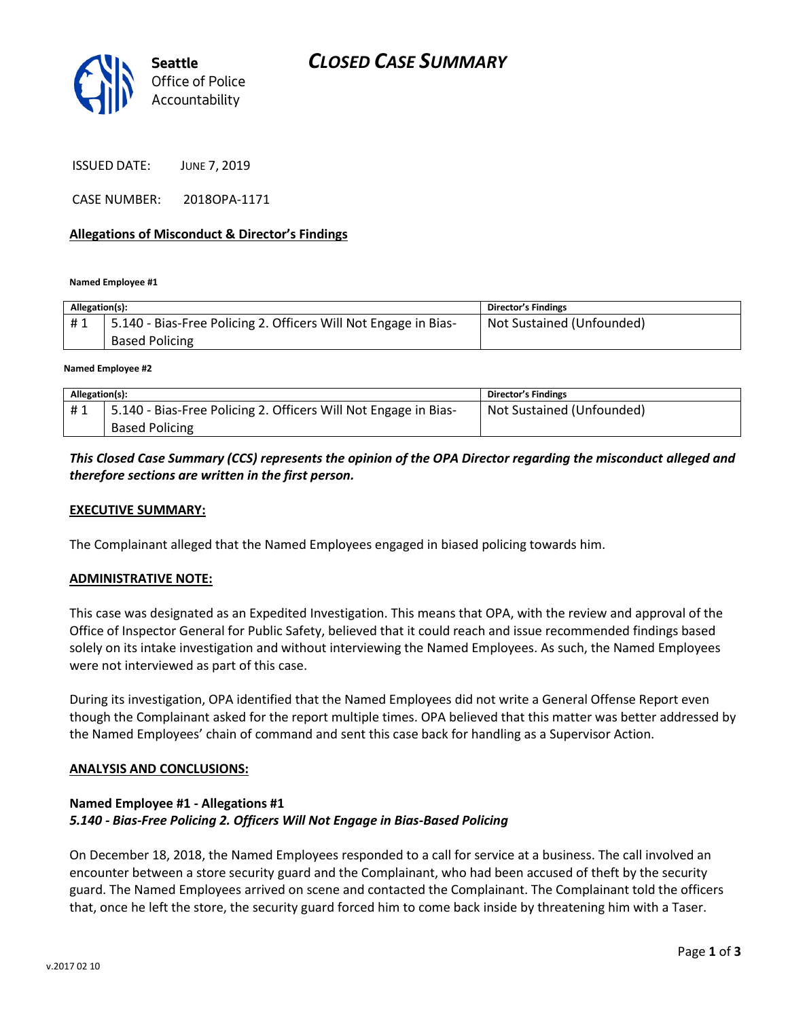

ISSUED DATE: JUNE 7, 2019

CASE NUMBER: 2018OPA-1171

#### **Allegations of Misconduct & Director's Findings**

**Named Employee #1**

| Allegation(s): |                                                                                          | <b>Director's Findings</b> |
|----------------|------------------------------------------------------------------------------------------|----------------------------|
| #1             | 5.140 - Bias-Free Policing 2. Officers Will Not Engage in Bias-<br><b>Based Policing</b> | Not Sustained (Unfounded)  |
|                |                                                                                          |                            |

**Named Employee #2**

| Allegation(s): |                                                                 | Director's Findings       |
|----------------|-----------------------------------------------------------------|---------------------------|
| #1             | 5.140 - Bias-Free Policing 2. Officers Will Not Engage in Bias- | Not Sustained (Unfounded) |
|                | <b>Based Policing</b>                                           |                           |

## *This Closed Case Summary (CCS) represents the opinion of the OPA Director regarding the misconduct alleged and therefore sections are written in the first person.*

### **EXECUTIVE SUMMARY:**

The Complainant alleged that the Named Employees engaged in biased policing towards him.

#### **ADMINISTRATIVE NOTE:**

This case was designated as an Expedited Investigation. This means that OPA, with the review and approval of the Office of Inspector General for Public Safety, believed that it could reach and issue recommended findings based solely on its intake investigation and without interviewing the Named Employees. As such, the Named Employees were not interviewed as part of this case.

During its investigation, OPA identified that the Named Employees did not write a General Offense Report even though the Complainant asked for the report multiple times. OPA believed that this matter was better addressed by the Named Employees' chain of command and sent this case back for handling as a Supervisor Action.

#### **ANALYSIS AND CONCLUSIONS:**

### **Named Employee #1 - Allegations #1** *5.140 - Bias-Free Policing 2. Officers Will Not Engage in Bias-Based Policing*

On December 18, 2018, the Named Employees responded to a call for service at a business. The call involved an encounter between a store security guard and the Complainant, who had been accused of theft by the security guard. The Named Employees arrived on scene and contacted the Complainant. The Complainant told the officers that, once he left the store, the security guard forced him to come back inside by threatening him with a Taser.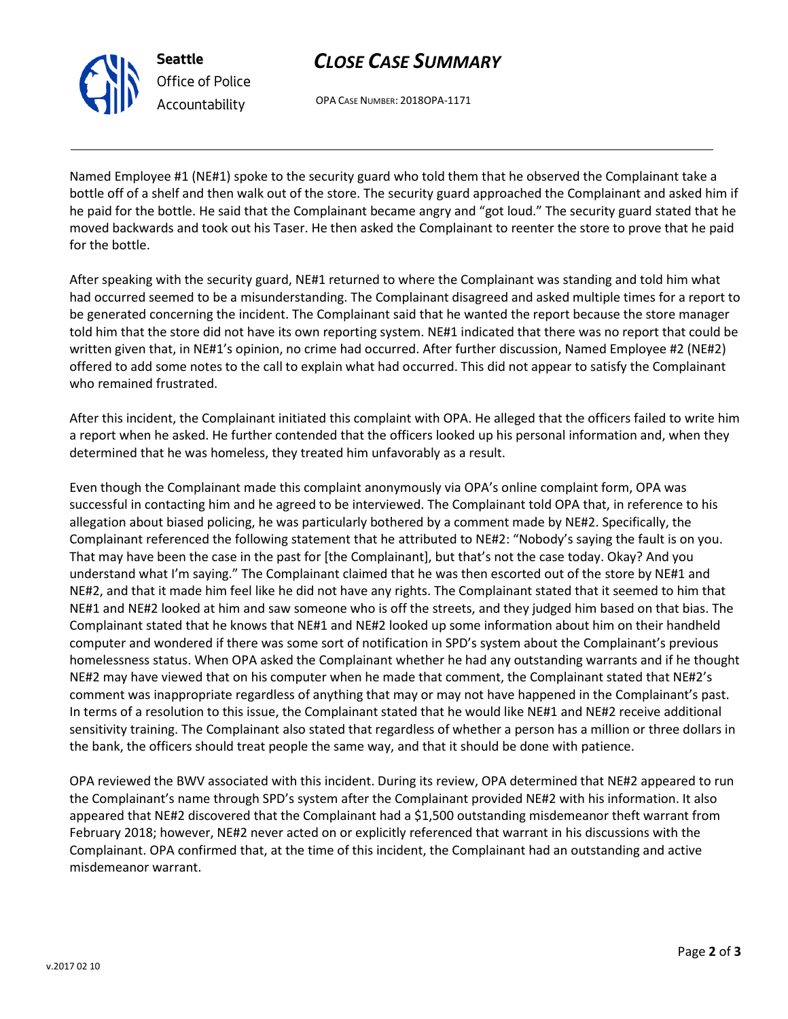**Seattle** *Office of Police Accountability*

# *CLOSE CASE SUMMARY*

OPA CASE NUMBER: 2018OPA-1171

Named Employee #1 (NE#1) spoke to the security guard who told them that he observed the Complainant take a bottle off of a shelf and then walk out of the store. The security guard approached the Complainant and asked him if he paid for the bottle. He said that the Complainant became angry and "got loud." The security guard stated that he moved backwards and took out his Taser. He then asked the Complainant to reenter the store to prove that he paid for the bottle.

After speaking with the security guard, NE#1 returned to where the Complainant was standing and told him what had occurred seemed to be a misunderstanding. The Complainant disagreed and asked multiple times for a report to be generated concerning the incident. The Complainant said that he wanted the report because the store manager told him that the store did not have its own reporting system. NE#1 indicated that there was no report that could be written given that, in NE#1's opinion, no crime had occurred. After further discussion, Named Employee #2 (NE#2) offered to add some notes to the call to explain what had occurred. This did not appear to satisfy the Complainant who remained frustrated.

After this incident, the Complainant initiated this complaint with OPA. He alleged that the officers failed to write him a report when he asked. He further contended that the officers looked up his personal information and, when they determined that he was homeless, they treated him unfavorably as a result.

Even though the Complainant made this complaint anonymously via OPA's online complaint form, OPA was successful in contacting him and he agreed to be interviewed. The Complainant told OPA that, in reference to his allegation about biased policing, he was particularly bothered by a comment made by NE#2. Specifically, the Complainant referenced the following statement that he attributed to NE#2: "Nobody's saying the fault is on you. That may have been the case in the past for [the Complainant], but that's not the case today. Okay? And you understand what I'm saying." The Complainant claimed that he was then escorted out of the store by NE#1 and NE#2, and that it made him feel like he did not have any rights. The Complainant stated that it seemed to him that NE#1 and NE#2 looked at him and saw someone who is off the streets, and they judged him based on that bias. The Complainant stated that he knows that NE#1 and NE#2 looked up some information about him on their handheld computer and wondered if there was some sort of notification in SPD's system about the Complainant's previous homelessness status. When OPA asked the Complainant whether he had any outstanding warrants and if he thought NE#2 may have viewed that on his computer when he made that comment, the Complainant stated that NE#2's comment was inappropriate regardless of anything that may or may not have happened in the Complainant's past. In terms of a resolution to this issue, the Complainant stated that he would like NE#1 and NE#2 receive additional sensitivity training. The Complainant also stated that regardless of whether a person has a million or three dollars in the bank, the officers should treat people the same way, and that it should be done with patience.

OPA reviewed the BWV associated with this incident. During its review, OPA determined that NE#2 appeared to run the Complainant's name through SPD's system after the Complainant provided NE#2 with his information. It also appeared that NE#2 discovered that the Complainant had a \$1,500 outstanding misdemeanor theft warrant from February 2018; however, NE#2 never acted on or explicitly referenced that warrant in his discussions with the Complainant. OPA confirmed that, at the time of this incident, the Complainant had an outstanding and active misdemeanor warrant.